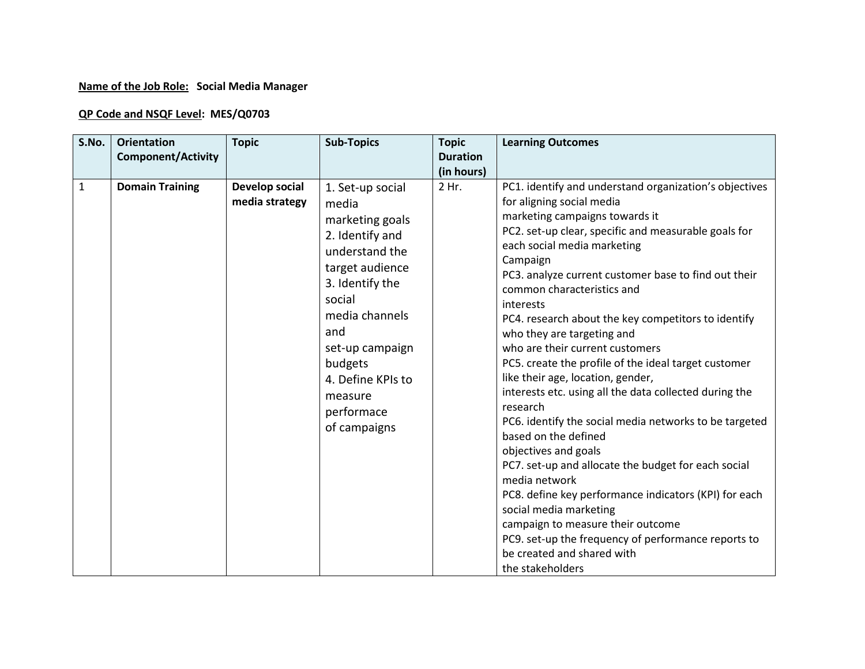## **Name of the Job Role: Social Media Manager**

## **QP Code and NSQF Level: MES/Q0703**

| S.No.        | <b>Orientation</b><br><b>Component/Activity</b> | <b>Topic</b>                     | <b>Sub-Topics</b>                                                                                                                                                                                                                                      | <b>Topic</b><br><b>Duration</b> | <b>Learning Outcomes</b>                                                                                                                                                                                                                                                                                                                                                                                                                                                                                                                                                                                                                                                                                                                                                                                                                                                                                                                                                                                                                  |
|--------------|-------------------------------------------------|----------------------------------|--------------------------------------------------------------------------------------------------------------------------------------------------------------------------------------------------------------------------------------------------------|---------------------------------|-------------------------------------------------------------------------------------------------------------------------------------------------------------------------------------------------------------------------------------------------------------------------------------------------------------------------------------------------------------------------------------------------------------------------------------------------------------------------------------------------------------------------------------------------------------------------------------------------------------------------------------------------------------------------------------------------------------------------------------------------------------------------------------------------------------------------------------------------------------------------------------------------------------------------------------------------------------------------------------------------------------------------------------------|
| $\mathbf{1}$ | <b>Domain Training</b>                          | Develop social<br>media strategy | 1. Set-up social<br>media<br>marketing goals<br>2. Identify and<br>understand the<br>target audience<br>3. Identify the<br>social<br>media channels<br>and<br>set-up campaign<br>budgets<br>4. Define KPIs to<br>measure<br>performace<br>of campaigns | (in hours)<br>2 Hr.             | PC1. identify and understand organization's objectives<br>for aligning social media<br>marketing campaigns towards it<br>PC2. set-up clear, specific and measurable goals for<br>each social media marketing<br>Campaign<br>PC3. analyze current customer base to find out their<br>common characteristics and<br>interests<br>PC4. research about the key competitors to identify<br>who they are targeting and<br>who are their current customers<br>PC5. create the profile of the ideal target customer<br>like their age, location, gender,<br>interests etc. using all the data collected during the<br>research<br>PC6. identify the social media networks to be targeted<br>based on the defined<br>objectives and goals<br>PC7. set-up and allocate the budget for each social<br>media network<br>PC8. define key performance indicators (KPI) for each<br>social media marketing<br>campaign to measure their outcome<br>PC9. set-up the frequency of performance reports to<br>be created and shared with<br>the stakeholders |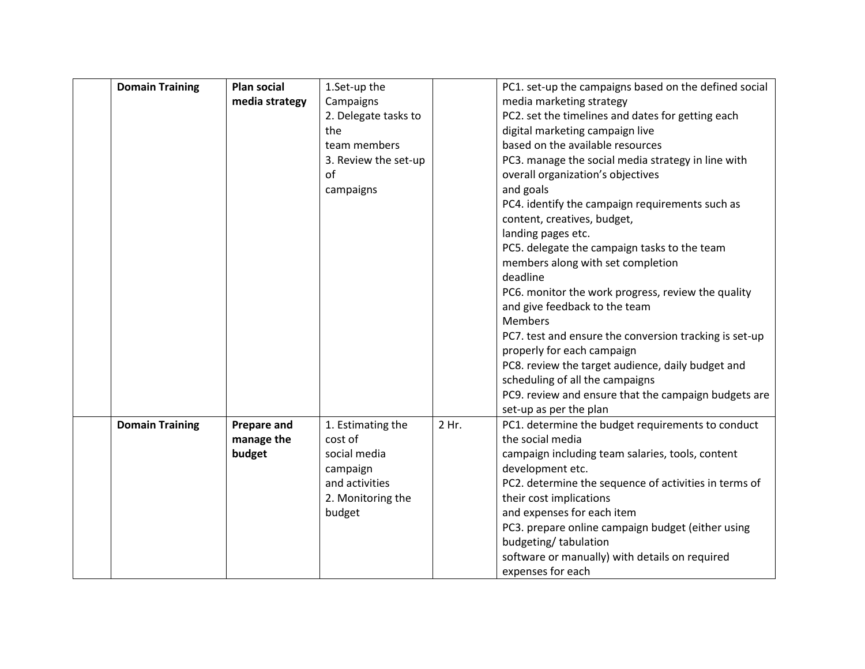| media strategy<br>Campaigns<br>media marketing strategy<br>PC2. set the timelines and dates for getting each<br>2. Delegate tasks to<br>the<br>digital marketing campaign live<br>based on the available resources<br>team members<br>PC3. manage the social media strategy in line with<br>3. Review the set-up<br>of<br>overall organization's objectives<br>and goals<br>campaigns<br>PC4. identify the campaign requirements such as<br>content, creatives, budget,<br>landing pages etc.<br>PC5. delegate the campaign tasks to the team<br>members along with set completion<br>deadline<br>PC6. monitor the work progress, review the quality<br>and give feedback to the team<br><b>Members</b><br>PC7. test and ensure the conversion tracking is set-up<br>properly for each campaign<br>PC8. review the target audience, daily budget and<br>scheduling of all the campaigns<br>PC9. review and ensure that the campaign budgets are<br>set-up as per the plan<br><b>Domain Training</b><br><b>Prepare and</b><br>1. Estimating the<br>2 Hr.<br>PC1. determine the budget requirements to conduct<br>the social media<br>manage the<br>cost of<br>budget<br>social media<br>campaign including team salaries, tools, content<br>development etc.<br>campaign<br>and activities<br>PC2. determine the sequence of activities in terms of<br>their cost implications<br>2. Monitoring the<br>and expenses for each item<br>budget<br>PC3. prepare online campaign budget (either using<br>budgeting/tabulation | <b>Domain Training</b> | <b>Plan social</b> | 1.Set-up the | PC1. set-up the campaigns based on the defined social |
|-------------------------------------------------------------------------------------------------------------------------------------------------------------------------------------------------------------------------------------------------------------------------------------------------------------------------------------------------------------------------------------------------------------------------------------------------------------------------------------------------------------------------------------------------------------------------------------------------------------------------------------------------------------------------------------------------------------------------------------------------------------------------------------------------------------------------------------------------------------------------------------------------------------------------------------------------------------------------------------------------------------------------------------------------------------------------------------------------------------------------------------------------------------------------------------------------------------------------------------------------------------------------------------------------------------------------------------------------------------------------------------------------------------------------------------------------------------------------------------------------------------------------|------------------------|--------------------|--------------|-------------------------------------------------------|
|                                                                                                                                                                                                                                                                                                                                                                                                                                                                                                                                                                                                                                                                                                                                                                                                                                                                                                                                                                                                                                                                                                                                                                                                                                                                                                                                                                                                                                                                                                                         |                        |                    |              |                                                       |
|                                                                                                                                                                                                                                                                                                                                                                                                                                                                                                                                                                                                                                                                                                                                                                                                                                                                                                                                                                                                                                                                                                                                                                                                                                                                                                                                                                                                                                                                                                                         |                        |                    |              |                                                       |
|                                                                                                                                                                                                                                                                                                                                                                                                                                                                                                                                                                                                                                                                                                                                                                                                                                                                                                                                                                                                                                                                                                                                                                                                                                                                                                                                                                                                                                                                                                                         |                        |                    |              |                                                       |
|                                                                                                                                                                                                                                                                                                                                                                                                                                                                                                                                                                                                                                                                                                                                                                                                                                                                                                                                                                                                                                                                                                                                                                                                                                                                                                                                                                                                                                                                                                                         |                        |                    |              |                                                       |
|                                                                                                                                                                                                                                                                                                                                                                                                                                                                                                                                                                                                                                                                                                                                                                                                                                                                                                                                                                                                                                                                                                                                                                                                                                                                                                                                                                                                                                                                                                                         |                        |                    |              |                                                       |
|                                                                                                                                                                                                                                                                                                                                                                                                                                                                                                                                                                                                                                                                                                                                                                                                                                                                                                                                                                                                                                                                                                                                                                                                                                                                                                                                                                                                                                                                                                                         |                        |                    |              |                                                       |
|                                                                                                                                                                                                                                                                                                                                                                                                                                                                                                                                                                                                                                                                                                                                                                                                                                                                                                                                                                                                                                                                                                                                                                                                                                                                                                                                                                                                                                                                                                                         |                        |                    |              |                                                       |
|                                                                                                                                                                                                                                                                                                                                                                                                                                                                                                                                                                                                                                                                                                                                                                                                                                                                                                                                                                                                                                                                                                                                                                                                                                                                                                                                                                                                                                                                                                                         |                        |                    |              |                                                       |
|                                                                                                                                                                                                                                                                                                                                                                                                                                                                                                                                                                                                                                                                                                                                                                                                                                                                                                                                                                                                                                                                                                                                                                                                                                                                                                                                                                                                                                                                                                                         |                        |                    |              |                                                       |
|                                                                                                                                                                                                                                                                                                                                                                                                                                                                                                                                                                                                                                                                                                                                                                                                                                                                                                                                                                                                                                                                                                                                                                                                                                                                                                                                                                                                                                                                                                                         |                        |                    |              |                                                       |
|                                                                                                                                                                                                                                                                                                                                                                                                                                                                                                                                                                                                                                                                                                                                                                                                                                                                                                                                                                                                                                                                                                                                                                                                                                                                                                                                                                                                                                                                                                                         |                        |                    |              |                                                       |
|                                                                                                                                                                                                                                                                                                                                                                                                                                                                                                                                                                                                                                                                                                                                                                                                                                                                                                                                                                                                                                                                                                                                                                                                                                                                                                                                                                                                                                                                                                                         |                        |                    |              |                                                       |
|                                                                                                                                                                                                                                                                                                                                                                                                                                                                                                                                                                                                                                                                                                                                                                                                                                                                                                                                                                                                                                                                                                                                                                                                                                                                                                                                                                                                                                                                                                                         |                        |                    |              |                                                       |
|                                                                                                                                                                                                                                                                                                                                                                                                                                                                                                                                                                                                                                                                                                                                                                                                                                                                                                                                                                                                                                                                                                                                                                                                                                                                                                                                                                                                                                                                                                                         |                        |                    |              |                                                       |
|                                                                                                                                                                                                                                                                                                                                                                                                                                                                                                                                                                                                                                                                                                                                                                                                                                                                                                                                                                                                                                                                                                                                                                                                                                                                                                                                                                                                                                                                                                                         |                        |                    |              |                                                       |
|                                                                                                                                                                                                                                                                                                                                                                                                                                                                                                                                                                                                                                                                                                                                                                                                                                                                                                                                                                                                                                                                                                                                                                                                                                                                                                                                                                                                                                                                                                                         |                        |                    |              |                                                       |
|                                                                                                                                                                                                                                                                                                                                                                                                                                                                                                                                                                                                                                                                                                                                                                                                                                                                                                                                                                                                                                                                                                                                                                                                                                                                                                                                                                                                                                                                                                                         |                        |                    |              |                                                       |
|                                                                                                                                                                                                                                                                                                                                                                                                                                                                                                                                                                                                                                                                                                                                                                                                                                                                                                                                                                                                                                                                                                                                                                                                                                                                                                                                                                                                                                                                                                                         |                        |                    |              |                                                       |
|                                                                                                                                                                                                                                                                                                                                                                                                                                                                                                                                                                                                                                                                                                                                                                                                                                                                                                                                                                                                                                                                                                                                                                                                                                                                                                                                                                                                                                                                                                                         |                        |                    |              |                                                       |
|                                                                                                                                                                                                                                                                                                                                                                                                                                                                                                                                                                                                                                                                                                                                                                                                                                                                                                                                                                                                                                                                                                                                                                                                                                                                                                                                                                                                                                                                                                                         |                        |                    |              |                                                       |
|                                                                                                                                                                                                                                                                                                                                                                                                                                                                                                                                                                                                                                                                                                                                                                                                                                                                                                                                                                                                                                                                                                                                                                                                                                                                                                                                                                                                                                                                                                                         |                        |                    |              |                                                       |
|                                                                                                                                                                                                                                                                                                                                                                                                                                                                                                                                                                                                                                                                                                                                                                                                                                                                                                                                                                                                                                                                                                                                                                                                                                                                                                                                                                                                                                                                                                                         |                        |                    |              |                                                       |
|                                                                                                                                                                                                                                                                                                                                                                                                                                                                                                                                                                                                                                                                                                                                                                                                                                                                                                                                                                                                                                                                                                                                                                                                                                                                                                                                                                                                                                                                                                                         |                        |                    |              |                                                       |
|                                                                                                                                                                                                                                                                                                                                                                                                                                                                                                                                                                                                                                                                                                                                                                                                                                                                                                                                                                                                                                                                                                                                                                                                                                                                                                                                                                                                                                                                                                                         |                        |                    |              |                                                       |
|                                                                                                                                                                                                                                                                                                                                                                                                                                                                                                                                                                                                                                                                                                                                                                                                                                                                                                                                                                                                                                                                                                                                                                                                                                                                                                                                                                                                                                                                                                                         |                        |                    |              |                                                       |
|                                                                                                                                                                                                                                                                                                                                                                                                                                                                                                                                                                                                                                                                                                                                                                                                                                                                                                                                                                                                                                                                                                                                                                                                                                                                                                                                                                                                                                                                                                                         |                        |                    |              |                                                       |
|                                                                                                                                                                                                                                                                                                                                                                                                                                                                                                                                                                                                                                                                                                                                                                                                                                                                                                                                                                                                                                                                                                                                                                                                                                                                                                                                                                                                                                                                                                                         |                        |                    |              |                                                       |
|                                                                                                                                                                                                                                                                                                                                                                                                                                                                                                                                                                                                                                                                                                                                                                                                                                                                                                                                                                                                                                                                                                                                                                                                                                                                                                                                                                                                                                                                                                                         |                        |                    |              |                                                       |
|                                                                                                                                                                                                                                                                                                                                                                                                                                                                                                                                                                                                                                                                                                                                                                                                                                                                                                                                                                                                                                                                                                                                                                                                                                                                                                                                                                                                                                                                                                                         |                        |                    |              |                                                       |
|                                                                                                                                                                                                                                                                                                                                                                                                                                                                                                                                                                                                                                                                                                                                                                                                                                                                                                                                                                                                                                                                                                                                                                                                                                                                                                                                                                                                                                                                                                                         |                        |                    |              |                                                       |
|                                                                                                                                                                                                                                                                                                                                                                                                                                                                                                                                                                                                                                                                                                                                                                                                                                                                                                                                                                                                                                                                                                                                                                                                                                                                                                                                                                                                                                                                                                                         |                        |                    |              | software or manually) with details on required        |
| expenses for each                                                                                                                                                                                                                                                                                                                                                                                                                                                                                                                                                                                                                                                                                                                                                                                                                                                                                                                                                                                                                                                                                                                                                                                                                                                                                                                                                                                                                                                                                                       |                        |                    |              |                                                       |